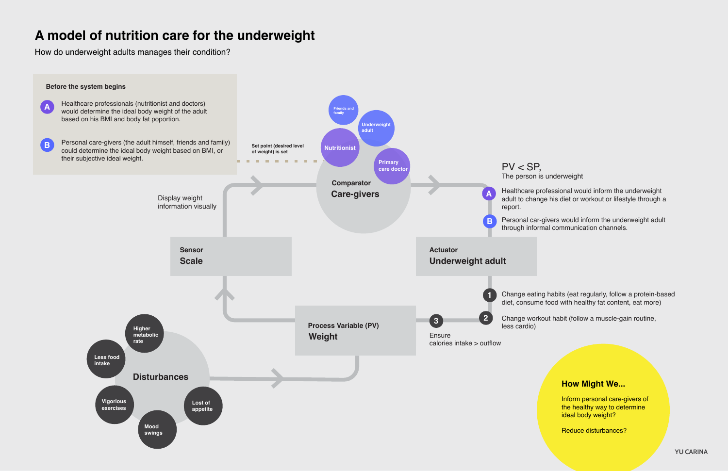## **A model of nutrition care for the underweight**

How do underweight adults manages their condition?

The person is underweight

Healthcare professional would inform the underweight adult to change his diet or workout or lifestyle through a

Personal car-givers would inform the underweight adult through informal communication channels.

Change eating habits (eat regularly, follow a protein-based diet, consume food with healthy fat content, eat more)

Change workout habit (follow a muscle-gain routine,



### **How Might We...**

Inform personal care-givers of the healthy way to determine ideal body weight?

Reduce disturbances?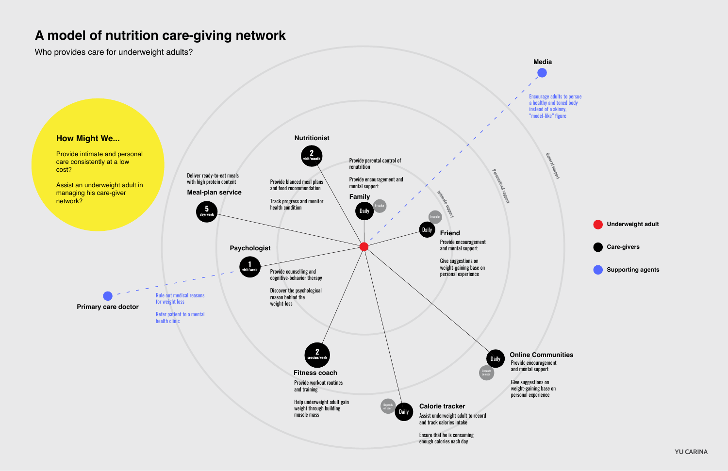# **A model of nutrition care-giving network**

Who provides care for underweight adults?



**General**

**support**

#### **Online Communities**





Encourage adults to persue a healthy and toned body instead of a skinny, "model-like" figure





**Supporting agents**

**YU CARINA**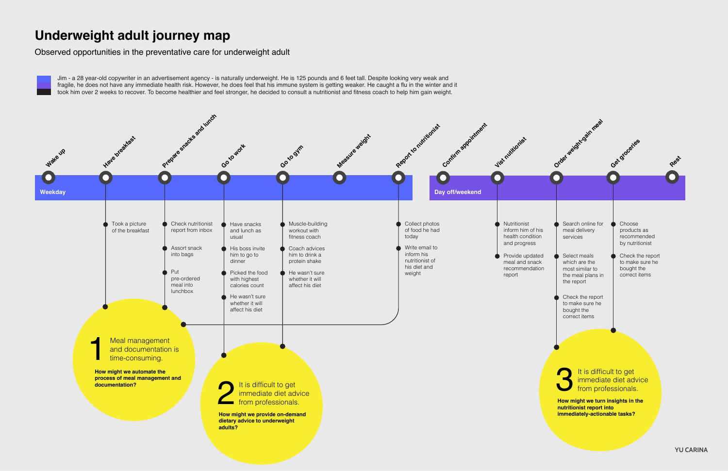## **Underweight adult journey map**

Observed opportunities in the preventative care for underweight adult

Jim - a 28 year-old copywriter in an advertisement agency - is naturally underweight. He is 125 pounds and 6 feet tall. Despite looking very weak and fragile, he does not have any immediate health risk. However, he does feel that his immune system is getting weaker. He caught a flu in the winter and it took him over 2 weeks to recover. To become healthier and feel stronger, he decided to consult a nutritionist and fitness coach to help him gain weight.